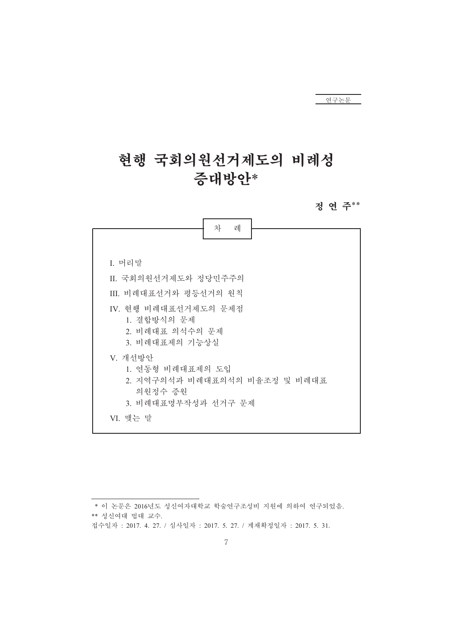정 연 주\*\*

|                                                                                                | 차<br>례 |  |
|------------------------------------------------------------------------------------------------|--------|--|
| I. 머리말                                                                                         |        |  |
| II. 국회의원선거제도와 정당민주주의                                                                           |        |  |
| Ⅲ. 비례대표선거와 평등선거의 원칙                                                                            |        |  |
| IV. 현행 비례대표선거제도의 문제점<br>1. 결합방식의 문제<br>2. 비례대표 의석수의 문제<br>3. 비례대표제의 기능상실                       |        |  |
| V. 개선방안<br>1. 연동형 비례대표제의 도입<br>2. 지역구의석과 비례대표의석의 비율조정 및 비례대표<br>의원정수 증원<br>3. 비례대표명부작성과 선거구 문제 |        |  |
| VI. 맺는 말                                                                                       |        |  |

접수일자 : 2017. 4. 27. / 심사일자 : 2017. 5. 27. / 게재확정일자 : 2017. 5. 31.

<sup>\*</sup> 이 논문은 2016년도 성신여자대학교 학술연구조성비 지원에 의하여 연구되었음. \*\* 성신여대 법대 교수.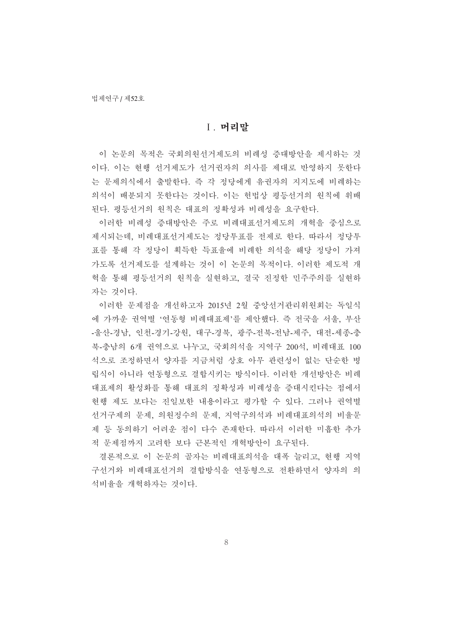#### Ⅰ. 머리말

이 논문의 목적은 국회의원선거제도의 비례성 증대방안을 제시하는 것 이다. 이는 현행 선거제도가 선거권자의 의사를 제대로 반영하지 못한다 는 문제의식에서 출발하다. 즉 각 정당에게 유권자의 지지도에 비례하는 의석이 배분되지 못한다는 것이다. 이는 헌법상 평등선거의 원칙에 위배 된다. 평등선거의 원칙은 대표의 정확성과 비례성을 요구한다.

이러한 비례성 증대방안은 주로 비례대표선거제도의 개혁을 중심으로 제시되는데, 비례대표선거제도는 정당투표를 전제로 한다. 따라서 정당투 표를 통해 각 정당이 획득한 득표율에 비례한 의석을 해당 정당이 가져 가도록 선거제도를 설계하는 것이 이 논문의 목적이다. 이러한 제도적 개 혁을 통해 평등선거의 원칙을 실현하고, 결국 진정한 민주주의를 실현하 자는 것이다.

이러한 문제적을 개선하고자 2015년 2월 중앙선거관리위원회는 독일식 에 가까운 권역별 '연동형 비례대표제'를 제안했다. 즉 전국을 서울, 부산 -울산-경남, 인천-경기-강원, 대구-경북, 광주-전북-전남-제주, 대전-세종-충 북-충남의 6개 권역으로 나누고, 국회의석을 지역구 200석, 비례대표 100 석으로 조정하면서 양자를 지금처럼 상호 아무 관련성이 없는 단순한 병 립식이 아니라 연동형으로 결합시키는 방식이다. 이러한 개선방안은 비례 대표제의 활성화를 통해 대표의 정확성과 비례성을 증대시킨다는 점에서 현행 제도 보다는 진일보한 내용이라고 평가할 수 있다. 그러나 권역별 선거구제의 문제, 의원정수의 문제, 지역구의석과 비례대표의석의 비율문 제 등 동의하기 어려운 점이 다수 존재한다. 따라서 이러한 미흡한 추가 적 문제점까지 고려한 보다 근본적인 개혁방안이 요구된다.

결론적으로 이 논문의 골자는 비례대표의석을 대폭 늘리고, 현행 지역 구선거와 비례대표선거의 결합방식을 연동형으로 전환하면서 양자의 의 석비율을 개혁하자는 것이다.

8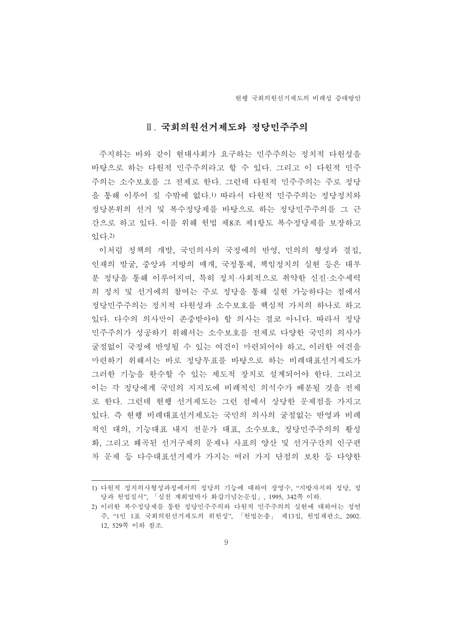# Ⅱ. 국회의원선거제도와 정당민주주의

주지하는 바와 같이 현대사회가 요구하는 민주주의는 정치적 다원성을 바탕으로 하는 다워적 민주주의라고 할 수 있다. 그리고 이 다워적 민주 주의는 소수보호를 그 전제로 한다. 그런데 다원적 민주주의는 주로 정당 을 통해 이루어 질 수밖에 없다.1) 따라서 다원적 민주주의는 정당정치와 정당본위의 선거 및 복수정당제를 바탕으로 하는 정당민주주의를 그 근 간으로 하고 있다. 이를 위해 헌법 제8조 제1항도 복수정당제를 보장하고 있다.2)

이처럼 정책의 개발, 국민의사의 국정에의 반영, 민의의 형성과 결집, 인재의 발굴, 중앙과 지방의 매개, 국정통제, 책임정치의 실현 등은 대부 분 정당을 통해 이루어지며, 특히 정치·사회적으로 취약한 신진·소수세력 의 정치 및 선거에의 참여는 주로 정당을 통해 실현 가능하다는 점에서 정당민주주의는 정치적 다원성과 소수보호를 핵심적 가치의 하나로 하고 있다. 다수의 의사만이 존중받아야 할 의사는 결코 아니다. 따라서 정당 민주주의가 성공하기 위해서는 소수보호를 전제로 다양한 국민의 의사가 굴절없이 국정에 반영될 수 있는 여건이 마련되어야 하고, 이러한 여건을 마련하기 위해서는 바로 정당투표를 바탕으로 하는 비례대표선거제도가 그러한 기능을 완수할 수 있는 제도적 장치로 설계되어야 한다. 그리고 이는 각 정당에게 국민의 지지도에 비례적인 의석수가 배분될 것을 전제 로 한다. 그런데 현행 선거제도는 그런 점에서 상당한 문제점을 가지고 있다. 즉 현행 비례대표선거제도는 국민의 의사의 굴절없는 반영과 비례 적인 대의, 기능대표 내지 전문가 대표, 소수보호, 정당민주주의의 활성 화, 그리고 왜곡된 선거구제의 문제나 사표의 양산 및 선거구간의 인구편 차 문제 등 다수대표선거제가 가지는 여러 가지 단점의 보완 등 다양한

<sup>1)</sup> 다원적 정치의사형성과정에서의 정당의 기능에 대하여 장영수, "지방자치와 정당, 정 당과 헌법질서", 「심천 계희열박사 화갑기념논문집」, 1995, 342쪽 이하.

<sup>2)</sup> 이러한 복수젓당재를 통한 것당민주주의와 다원적 민주주의의 실현에 대하여는 것여 주, "1인 1표 국회의원선거제도의 위헌성", 「헌법논총」 제13집, 헌법재판소, 2002. 12, 529쪽 이하 참조.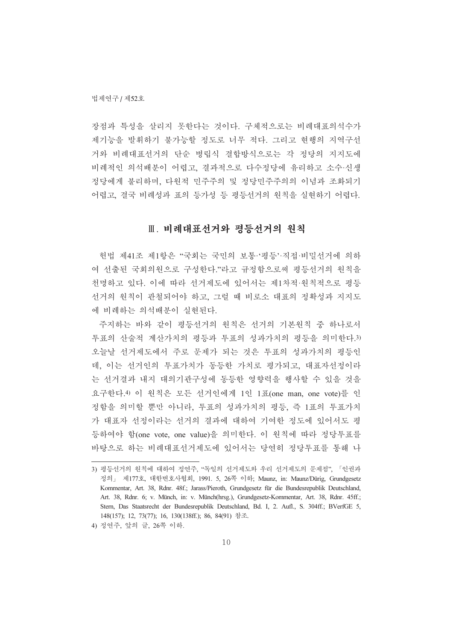장점과 특성을 살리지 못한다는 것이다. 구체적으로는 비례대표의석수가 제기능을 발휘하기 불가능할 정도로 너무 적다. 그리고 현행의 지역구선 거와 비례대표선거의 단순 병립식 결합방식으로는 각 정당의 지지도에 비례적인 의석배분이 어렵고, 결과적으로 다수정당에 유리하고 소수·신생 정당에게 불리하며, 다원적 민주주의 및 정당민주주의의 이념과 조화되기 어렵고, 결국 비례성과 표의 등가성 등 평등선거의 원칙을 실현하기 어렵다.

# Ⅲ. 비례대표선거와 평등선거의 원칙

헌법 제41조 제1항은 "국회는 국민의 보통·'평등'·직접·비밀선거에 의하 여 선출된 국회의원으로 구성한다."라고 규정함으로써 평등선거의 원칙을 천명하고 있다. 이에 따라 선거제도에 있어서는 제1차적·원칙적으로 평등 서거의 워칙이 관철되어야 하고, 그럴 때 비로소 대표의 정확성과 지지도 에 비례하는 의석배분이 실현된다.

주지하는 바와 같이 평등선거의 원칙은 선거의 기본원칙 중 하나로서 투표의 산술적 계산가치의 평등과 투표의 성과가치의 평등을 의미한다.3) 오늘날 선거제도에서 주로 문제가 되는 것은 투표의 성과가치의 평등인 데, 이는 선거인의 투표가치가 동등한 가치로 평가되고, 대표자선정이라 는 선거결과 내지 대의기관구성에 동등한 영향력을 행사할 수 있을 것을 요구한다.4) 이 원칙은 모든 선거인에게 1인 1표(one man, one vote)를 인 정함을 의미할 뿐만 아니라, 투표의 성과가치의 평등, 즉 1표의 투표가치 가 대표자 선정이라는 선거의 결과에 대하여 기여한 정도에 있어서도 평 등하여야 함(one vote, one value)을 의미한다. 이 원칙에 따라 정당투표를 바탕으로 하는 비례대표선거제도에 있어서는 당여히 정당투표를 통해 나

<sup>3)</sup> 평등선거의 원칙에 대하여 정연주, "독일의 선거제도와 우리 선거제도의 문제점", 「인권과 정의」 제177호, 대한변호사협회, 1991. 5, 26쪽 이하; Maunz, in: Maunz/Dürig, Grundgesetz Kommentar, Art. 38, Rdnr. 48f.; Jarass/Pieroth, Grundgesetz für die Bundesrepublik Deutschland, Art. 38, Rdnr. 6; v. Münch, in: v. Münch(hrsg.), Grundgesetz-Kommentar, Art. 38, Rdnr. 45ff.; Stern, Das Staatsrecht der Bundesrepublik Deutschland, Bd. I, 2. Aufl., S. 304ff.; BVerfGE 5, 148(157); 12, 73(77); 16, 130(138ff.); 86, 84(91) 참조.

<sup>4)</sup> 정연주, 앞의 글, 26쪽 이하.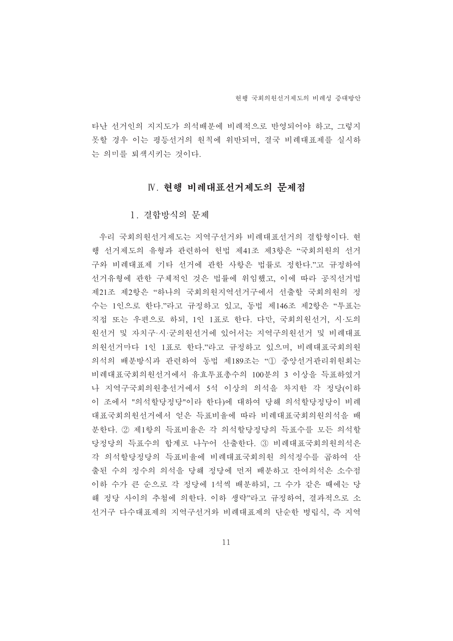타난 선거인의 지지도가 의석배분에 비례적으로 반영되어야 하고, 그렇지 못할 경우 이는 평등선거의 원칙에 위반되며, 결국 비례대표제를 실시하 는 의미를 퇴색시키는 것이다.

# IV. 현행 비례대표선거제도의 문제점

#### 1. 결합방식의 무제

우리 국회의원선거제도는 지역구선거와 비례대표선거의 결합형이다. 현 행 선거제도의 유형과 관련하여 헌법 제41조 제3항은 "국회의원의 선거 구와 비례대표제 기타 선거에 관한 사항은 법률로 정한다."고 규정하여 선거유형에 관한 구체적인 것은 법률에 위임했고, 이에 따라 공직선거법 제21조 제2항은 "하나의 국회의원지역선거구에서 선출할 국회의원의 정 수는 1인으로 한다."라고 규정하고 있고, 동법 제146조 제2항은 "투표는 직접 또는 우편으로 하되, 1인 1표로 한다. 다만, 국회의원선거, 시·도의 원선거 및 자치구·시·군의원선거에 있어서는 지역구의원선거 및 비례대표 의원선거마다 1인 1표로 한다. "라고 규정하고 있으며, 비례대표국회의원 의석의 배분방식과 관련하여 동법 제189조는 "① 중앙서거관리위원회는 비례대표국회의원서거에서 유효투표총수의 100분의 3 이상을 득표하였거 나 지역구국회의원총선거에서 5석 이상의 의석을 차지한 각 정당(이하 이 조에서 "의석할당정당"이라 한다)에 대하여 당해 의석할당정당이 비례 대표국회의원선거에서 얻은 득표비율에 따라 비례대표국회의원의석을 배 분한다. ② 제1항의 득표비율은 각 의석할당정당의 득표수를 모든 의석할 당정당의 득표수의 합계로 나누어 산출한다. ③ 비례대표국회의원의석은 각 의석할당정당의 득표비율에 비례대표국회의원 의석정수를 곱하여 산 출된 수의 정수의 의석을 당해 정당에 먼저 배분하고 잔여의석은 소수점 이하 수가 큰 순으로 각 정당에 1석씩 배분하되, 그 수가 같은 때에는 당 해 정당 사이의 추첨에 의한다. 이하 생략"라고 규정하여, 결과적으로 소 선거구 다수대표제의 지역구선거와 비례대표제의 단순한 병립식, 즉 지역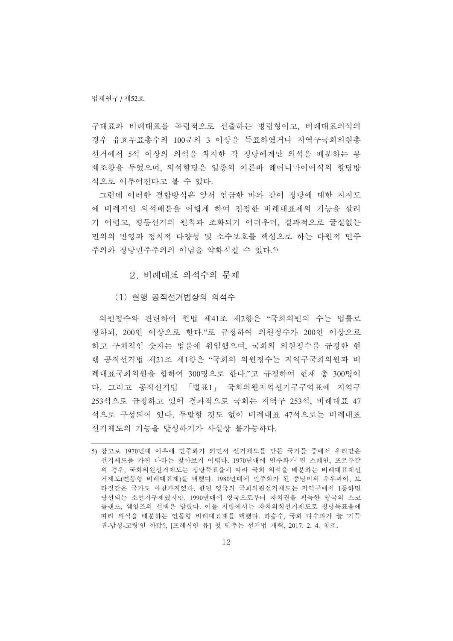구대표와 비례대표를 독립적으로 선출하는 병립형이고, 비례대표의석의 경우 유효투표총수의 100분의 3 이상을 득표하였거나 지역구국회의원총 선거에서 5석 이상의 의석을 차지한 각 정당에게만 의석을 배분하는 봉 쇄조항을 두었으며, 의석할당은 일종의 이른바 해어니마이어식의 할당방 식으로 이루어진다고 볼 수 있다.

그런데 이러한 결합방식은 앞서 언급한 바와 같이 정당에 대한 지지도 에 비례적인 의석배부을 어렵게 하여 진정한 비례대표제의 기능을 살리 기 어렵고, 평등서거의 원칙과 조화되기 어려우며, 결과적으로 굴절없는 민의의 반영과 정치적 다양성 및 소수보호를 핵심으로 하는 다원적 민주 주의와 정당민주주의의 이념을 약화시킬 수 있다.5)

2. 비례대표 의석수의 무제

(1) 현행 공직선거법상의 의석수

의원정수와 관련하여 헌법 제41조 제2항은 "국회의원의 수는 법률로 정하되, 200인 이상으로 한다."로 규정하여 의원정수가 200인 이상으로 하고 구체적인 숫자는 법률에 위임했으며, 국회의 의원정수를 규정한 현 행 공직선거법 제21조 제1항은 "국회의 의원정수는 지역구국회의원과 비 례대표국회의원을 합하여 300명으로 한다."고 규정하여 현재 총 300명이 다. 그리고 공직선거법 「별표1」 국회의원지역선거구구역표에 지역구 253석으로 규정하고 있어 결과적으로 국회는 지역구 253석, 비례대표 47 석으로 구성되어 있다. 두말할 것도 없이 비례대표 47석으로는 비례대표 선거제도의 기능을 달성하기가 사실상 불가능하다.

<sup>5)</sup> 참고로 1970년대 이후에 민주화가 되면서 선거제도를 만든 국가들 중에서 우리같은 선거제도를 가진 나라는 찾아보기 어렵다. 1970년대에 민주화가 된 스페인, 포르투갈 의 경우, 국회의원선거제도는 정당득표율에 따라 국회 의석을 배분하는 비례대표제선 거제도(연동형 비례대표제)를 택했다. 1980년대에 민주화가 된 중남미의 우루과이, 브 라질같은 국가도 마찬가지였다. 한편 영국의 국회의원선거제도는 지역구에서 1등하면 당선되는 소선거구제였지만, 1990년대에 영국으로부터 자치권을 획득한 영국의 스코 틀래드, 웨일즈의 선택은 달랐다. 이들 지방에서는 자치의회선거제도로 정당득표율에 따라 의석을 배분하는 연동형 비례대표제를 택했다. 하승수, 국회 다수파가 늘 '기득 권-남성-고령'인 까닭?, [프레시안 뷰] 첫 단추는 선거법 개혁, 2017. 2. 4. 참조.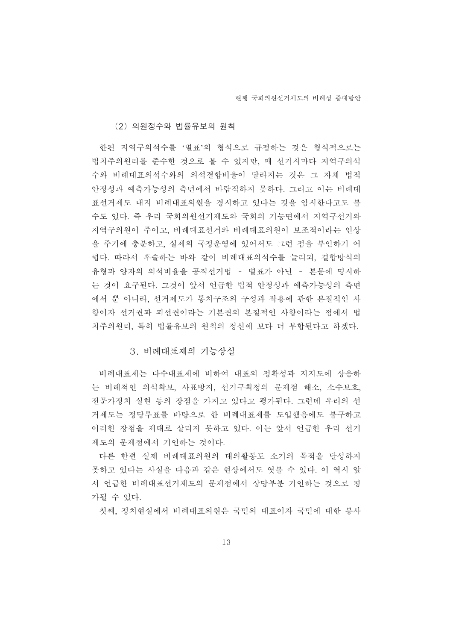#### (2) 의원정수와 법률유보의 원칙

한편 지역구의석수를 '별표'의 형식으로 규정하는 것은 형식적으로는 법치주의원리를 준수한 것으로 볼 수 있지만, 매 선거시마다 지역구의석 수와 비례대표의석수와의 의석결합비율이 달라지는 것은 그 자체 법적 안정성과 예측가능성의 측면에서 바람직하지 못하다. 그리고 이는 비례대 표선거제도 내지 비례대표의원을 경시하고 있다는 것을 암시한다고도 볼 수도 있다. 즉 우리 국회의원선거제도와 국회의 기능면에서 지역구선거와 지역구의원이 주이고, 비례대표선거와 비례대표의원이 보조적이라는 인상 을 주기에 충분하고, 실제의 국정운영에 있어서도 그런 점을 부인하기 어 렵다. 따라서 후술하는 바와 같이 비례대표의석수를 늘리되, 결합방식의 유형과 양자의 의석비율을 공직선거법 - 별표가 아닌 - 본문에 명시하 는 것이 요구된다. 그것이 앞서 언급한 법적 안정성과 예측가능성의 측면 에서 뿐 아니라, 선거제도가 통치구조의 구성과 작용에 관한 본질적인 사 항이자 선거권과 피선권이라는 기본권의 본질적인 사항이라는 점에서 법 치주의원리, 특히 법률유보의 원칙의 정신에 보다 더 부합된다고 하겠다.

#### 3. 비례대표제의 기능상실

비례대표제는 다수대표제에 비하여 대표의 정확성과 지지도에 상응하 는 비례적인 의석확보, 사표방지, 선거구획정의 문제점 해소, 소수보호, 전문가정치 실현 등의 장점을 가지고 있다고 평가된다. 그런데 우리의 선 거제도는 정당투표를 바탕으로 한 비례대표제를 도입했음에도 불구하고 이러한 장점을 제대로 살리지 못하고 있다. 이는 앞서 언급한 우리 선거 제도의 문제점에서 기인하는 것이다.

다른 한편 실제 비례대표의원의 대의활동도 소기의 목적을 달성하지 못하고 있다는 사실을 다음과 같은 현상에서도 엿볼 수 있다. 이 역시 앞 서 언급한 비례대표선거제도의 문제점에서 상당부분 기인하는 것으로 평 가될 수 있다.

첫째, 정치현실에서 비례대표의원은 국민의 대표이자 국민에 대한 봉사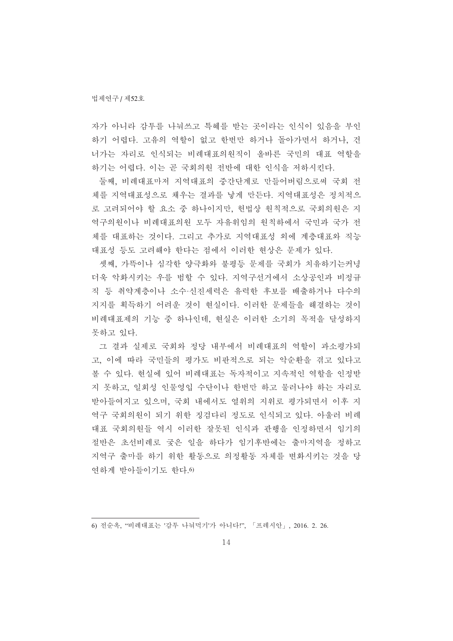자가 아니라 감투를 나눠쓰고 특혜를 받는 곳이라는 인식이 있음을 부인 하기 어렵다. 고유의 역할이 없고 한번만 하거나 돌아가면서 하거나, 건 너가는 자리로 인식되는 비례대표의원직이 올바른 국민의 대표 역할을 하기는 어렵다. 이는 곧 국회의원 전반에 대한 인식을 저하시킨다.

둘째, 비례대표마저 지역대표의 중간단계로 만들어버림으로써 국회 전 체를 지역대표성으로 채우는 결과를 낳게 만든다. 지역대표성은 정치적으 로 고려되어야 할 요소 중 하나이지만, 헌법상 원칙적으로 국회의원은 지 역구의원이나 비례대표의원 모두 자유위임의 원칙하에서 국민과 국가 전 체를 대표하는 것이다. 그리고 추가로 지역대표성 외에 계층대표와 직능 대표성 등도 고려해야 한다는 점에서 이러한 현상은 문제가 있다.

셋째, 가뜩이나 심각한 양극화와 불평등 문제를 국회가 치유하기는커녕 더욱 악화시키는 우를 범할 수 있다. 지역구선거에서 소상공인과 비정규 직 등 취약계층이나 소수·신진세력은 유력한 후보를 배출하거나 다수의 지지를 획득하기 어려운 것이 현실이다. 이러한 문제들을 해결하는 것이 비례대표제의 기능 중 하나인데, 현실은 이러한 소기의 목적을 달성하지 못하고 있다.

그 결과 실제로 국회와 정당 내부에서 비례대표의 역할이 과소평가되 고, 이에 따라 국민들의 평가도 비판적으로 되는 악순환을 겪고 있다고 볼 수 있다. 현실에 있어 비례대표는 독자적이고 지속적인 역할을 인정받 지 못하고, 일회성 인물영입 수단이나 한번만 하고 물러나야 하는 자리로 받아들여지고 있으며, 국회 내에서도 열위의 지위로 평가되면서 이후 지 역구 국회의원이 되기 위한 징검다리 정도로 인식되고 있다. 아울러 비례 대표 국회의원들 역시 이러한 잘못된 인식과 관행을 인정하면서 임기의 절반은 초선비례로 궂은 일을 하다가 임기후반에는 출마지역을 정하고 지역구 출마를 하기 위한 활동으로 의정활동 자체를 변화시키는 것을 당 연하게 받아들이기도 한다.6)

<sup>6)</sup> 전순옥, "비례대표는 '감투 나눠먹기'가 아니다!", 「프레시안」, 2016. 2. 26.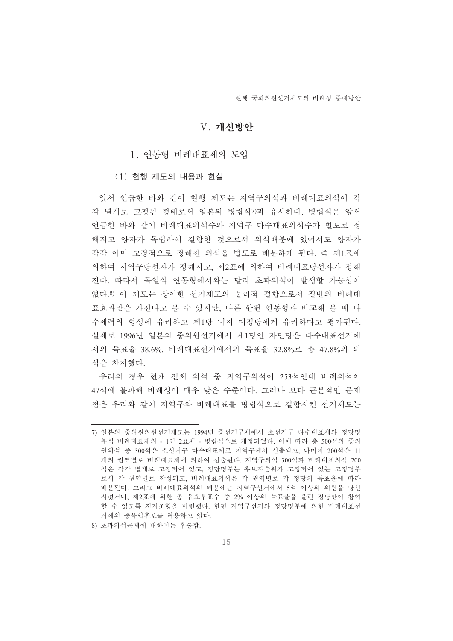#### V. 개서방아

#### 1. 연동형 비례대표제의 도입

(1) 현행 제도의 내용과 현실

앞서 어급한 바와 같이 혀행 제도는 지역구의석과 비례대표의석이 각 각 별개로 고정된 형태로서 일본의 병립식7과 유사하다. 병립식은 앞서 언급한 바와 같이 비례대표의석수와 지역구 다수대표의석수가 별도로 정 해지고 양자가 독립하여 결합한 것으로서 의석배분에 있어서도 양자가 각각 이미 고정적으로 정해진 의석을 별도로 배분하게 된다. 즉 제1표에 의하여 지역구당선자가 정해지고, 제2표에 의하여 비례대표당선자가 정해 진다. 따라서 독일식 연동형에서와는 달리 초과의석이 발생할 가능성이 없다.8) 이 제도는 상이한 선거제도의 물리적 결합으로서 절반의 비례대 표효과만을 가진다고 볼 수 있지만, 다른 한편 연동형과 비교해 볼 때 다 수세력의 형성에 유리하고 제1당 내지 대정당에게 유리하다고 평가된다. 실제로 1996년 일본의 중의원선거에서 제1당인 자민당은 다수대표선거에 서의 득표율 38.6%, 비례대표선거에서의 득표율 32.8%로 총 47.8%의 의 석을 차지해다.

우리의 경우 현재 전체 의석 중 지역구의석이 253석인데 비례의석이 47석에 불과해 비례성이 매우 낮은 수주이다. 그러나 보다 근본적인 문제 점은 우리와 같이 지역구와 비례대표를 병립식으로 결합시킨 선거제도는

<sup>7)</sup> 일본의 중의원의원서게도는 1994년 중선거구제에서 소선거구 다수대표제와 정당명 부식 비례대표제의 - 1인 2표제 - 병립식으로 개정되었다. 이에 따라 총 500석의 중의 원의석 중 300석은 소선거구 다수대표제로 지역구에서 선출되고, 나머지 200석은 11 개의 권역별로 비례대표제에 의하여 선출된다. 지역구의석 300석과 비례대표의석 200 석은 각각 별개로 고정되어 있고, 정당명부는 후보자순위가 고정되어 있는 고정명부 로서 각 권역별로 작성되고, 비례대표의석은 각 권역별로 각 정당의 득표율에 따라 배분된다. 그리고 비례대표의석의 배분에는 지역구선거에서 5석 이상의 의원을 당선 시켰거나, 제2표에 의한 총 유효투표수 중 2% 이상의 득표율을 올린 정당만이 참여 함 수 있도록 저지조항을 마련했다. 한편 지역구선거와 정당명부에 의한 비례대표선 거에의 중복입후보를 허용하고 있다.

<sup>8)</sup> 초과의석문제에 대하여는 후술함.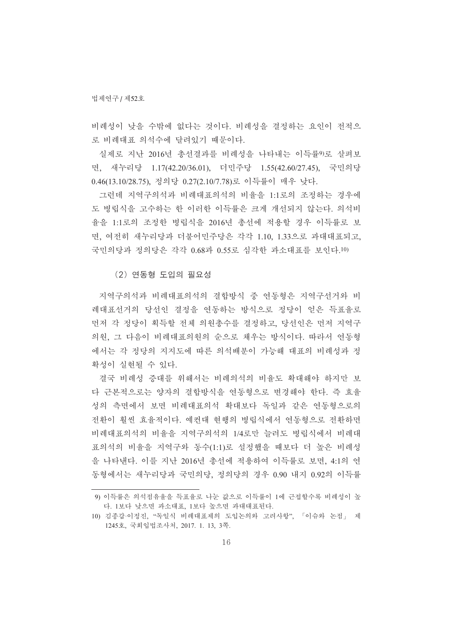비례성이 낮을 수밖에 없다는 것이다. 비례성을 결정하는 요인이 전적으 로 비례대표 의석수에 달려있기 때문이다.

실제로 지난 2016년 총선결과를 비례성을 나타내는 이득률9)로 살펴보 면, 새누리당 1.17(42.20/36.01), 더민주당 1.55(42.60/27.45), 국민의당 0.46(13.10/28.75), 정의당 0.27(2.10/7.78)로 이득률이 매우 낮다.

그런데 지역구의석과 비례대표의석의 비율을 1:1로의 조정하는 경우에 도 병립식을 고수하는 한 이러한 이득률은 크게 개선되지 않는다. 의석비 율을 1:1로의 조정한 병립식을 2016년 총선에 적용할 경우 이득률로 보 면, 여전히 새누리당과 더불어민주당은 각각 1.10, 1.33으로 과대대표되고, 국민의당과 정의당은 각각 0.68과 0.55로 심각한 과소대표를 보인다.10)

(2) 연동형 도입의 필요성

지역구의석과 비례대표의석의 결합방식 중 연동형은 지역구선거와 비 례대표선거의 당선인 결정을 연동하는 방식으로 정당이 얻은 득표율로 먼저 각 정당이 획득할 전체 의원총수를 결정하고, 당선인은 먼저 지역구 의원, 그 다음이 비례대표의원의 순으로 채우는 방식이다. 따라서 연동형 에서는 각 정당의 지지도에 따른 의석배분이 가능해 대표의 비례성과 정 확성이 실현될 수 있다.

결국 비례성 증대를 위해서는 비례의석의 비율도 확대해야 하지만 보 다 근본적으로는 양자의 결합방식을 여동형으로 변경해야 한다. 즉 효율 성의 측면에서 보면 비례대표의석 확대보다 독일과 같은 연동형으로의 전환이 훨씬 효율적이다. 예컨대 현행의 병립식에서 연동형으로 전환하면 비례대표의석의 비율을 지역구의석의 1/4로만 늘려도 병립식에서 비례대 표의석의 비율을 지역구와 동수(1:1)로 설정했을 때보다 더 높은 비례성 을 나타낸다. 이를 지난 2016년 총선에 적용하여 이득률로 보면, 4:1의 연 동형에서는 새누리당과 국민의당, 정의당의 경우 0.90 내지 0.92의 이득률

<sup>9)</sup> 이득률은 의석점유율을 득표율로 나눈 값으로 이득률이 1에 근접할수록 비례성이 높 다. 1보다 낮으면 과소대표. 1보다 높으면 과대대표된다.

<sup>10)</sup> 김종갑·이정진, "독일식 비례대표제의 도입논의와 고려사항", 「이슈와 논점」 제 1245호, 국회입법조사처, 2017. 1. 13, 3쪽.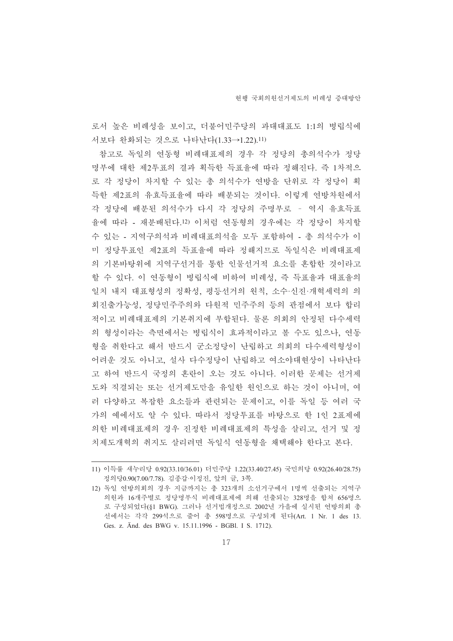로서 높은 비례성을 보이고, 더불어민주당의 과대대표도 1:1의 병립식에 서보다 완화되는 것으로 나타난다(1.33→1.22).11)

참고로 독일의 연동형 비례대표제의 경우 각 정당의 총의석수가 정당 명부에 대한 제2투표의 결과 획득한 득표율에 따라 정해진다. 즉 1차적으 로 각 정당이 차지함 수 있는 총 의석수가 여방을 단위로 각 정당이 획 득한 제2표의 유효득표율에 따라 배분되는 것이다. 이렇게 연방차원에서 각 정당에 배분된 의석수가 다시 각 정당의 주명부로 - 역시 유효득표 율에 따라 - 재분배된다.12) 이처럼 연동형의 경우에는 각 정당이 차지할 수 있는 - 지역구의석과 비례대표의석을 모두 포함하여 - 총 의석수가 이 미 정당투표인 제2표의 득표율에 따라 정해지므로 독일식은 비례대표제 의 기본바탕위에 지역구서거를 통한 인물서거적 요소를 혼합한 것이라고 할 수 있다. 이 연동형이 병립식에 비하여 비례성, 즉 득표율과 대표율의 일치 내지 대표형성의 정확성, 평등선거의 원칙, 소수·신진·개혁세력의 의 회진출가능성, 정당민주주의와 다원적 민주주의 등의 관점에서 보다 합리 적이고 비례대표제의 기본취지에 부합된다. 물론 의회의 안정된 다수세력 의 형성이라는 측면에서는 병립식이 효과적이라고 볼 수도 있으나, 연동 형을 취한다고 해서 반드시 군소정당이 난립하고 의회의 다수세력형성이 어려운 것도 아니고, 설사 다수정당이 난립하고 여소야대현상이 나타난다 고 하여 반드시 국정의 혼란이 오는 것도 아니다. 이러한 문제는 선거제 도와 직결되는 또는 선거제도만을 유일한 원인으로 하는 것이 아니며, 여 러 다양하고 복잡한 요소들과 관련되는 문제이고, 이를 독일 등 여러 국 가의 예에서도 알 수 있다. 따라서 정당투표를 바탕으로 한 1인 2표제에 의한 비례대표제의 경우 진정한 비례대표제의 특성을 살리고, 선거 및 정 치제도개혁의 취지도 살리려면 독일식 연동형을 채택해야 한다고 본다.

<sup>11)</sup> 이득률 새누리당 0.92(33.10/36.01) 더민주당 1.22(33.40/27.45) 국민의당 0.92(26.40/28.75) 정의당0.90(7.00/7.78). 김종갑·이정진, 앞의 글, 3쪽.

<sup>12)</sup> 독일 연방의회의 경우 지금까지는 총 323개의 소선거구에서 1명씩 선출되는 지역구 의원과 16개주별로 정당명부식 비례대표제에 의해 선출되는 328명을 합쳐 656명으 로 구성되었다(81 BWG). 그러나 선거법개정으로 2002년 가을에 실시된 여방의회 총 선에서는 각각 299석으로 줄어 총 598명으로 구성되게 된다(Art. 1 Nr. 1 des 13. Ges. z. Änd. des BWG v. 15.11.1996 - BGBl. I S. 1712).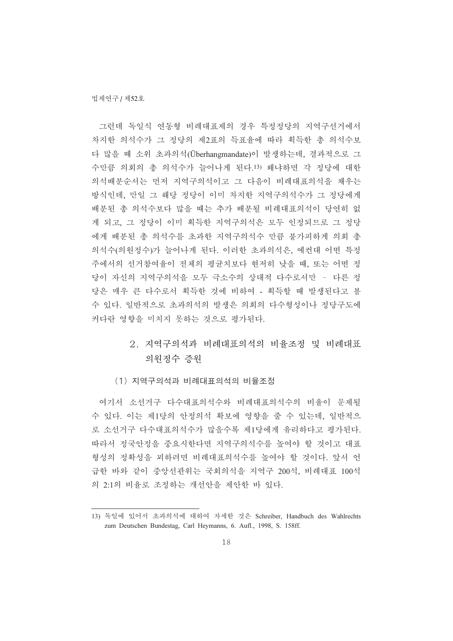그런데 독일식 연동형 비례대표제의 경우 특정정당의 지역구선거에서 차지한 의석수가 그 정당의 제2표의 득표율에 따라 획득한 총 의석수보 다 많을 때 소위 초과의석(Überhangmandate)이 발생하는데, 결과적으로 그 수만큼 의회의 총 의석수가 늘어나게 된다.13) 왜냐하면 각 정당에 대한 의석배부순서는 먼저 지역구의석이고 그 다음이 비례대표의석을 채우는 방식인데, 만일 그 해당 정당이 이미 차지한 지역구의석수가 그 정당에게 배분된 총 의석수보다 많을 때는 추가 배분될 비례대표의석이 당연히 없 게 되고, 그 정당이 이미 획득한 지역구의석은 모두 인정되므로 그 정당 에게 배부된 총 의석수를 초과한 지역구의석수 만큼 불가피하게 의회 총 의석수(의원정수)가 늘어나게 된다. 이러한 초과의석은, 예커대 어떤 특정 주에서의 선거참여율이 전체의 평균치보다 현저히 낮을 때, 또는 어떤 정 당이 자신의 지역구의석을 모두 극소수의 상대적 다수로서만 - 다른 정 당은 매우 큰 다수로서 획득한 것에 비하여 - 획득할 때 발생된다고 볼 수 있다. 일반적으로 초과의석의 발생은 의회의 다수형성이나 정당구도에 커다란 영향을 미치지 못하는 것으로 평가된다.

# 2. 지역구의석과 비례대표의석의 비율조정 및 비례대표 의원정수 증원

(1) 지역구의석과 비례대표의석의 비율조정

여기서 소선거구 다수대표의석수와 비례대표의석수의 비율이 문제될 수 있다. 이는 제1당의 안정의석 확보에 영향을 줄 수 있는데, 일반적으 로 소선거구 다수대표의석수가 많을수록 제1당에게 유리하다고 평가된다. 따라서 정국안정을 중요시한다면 지역구의석수를 높여야 할 것이고 대표 형성의 정확성을 꾀하려면 비례대표의석수를 높여야 할 것이다. 앞서 언 급한 바와 같이 중앙선관위는 국회의석을 지역구 200석, 비례대표 100석 의 2:1의 비율로 조정하는 개선안을 제안한 바 있다.

<sup>13)</sup> 독일에 있어서 초과의석에 대하여 자세한 것은 Schreiber, Handbuch des Wahlrechts zum Deutschen Bundestag, Carl Heymanns, 6. Aufl., 1998, S. 158ff.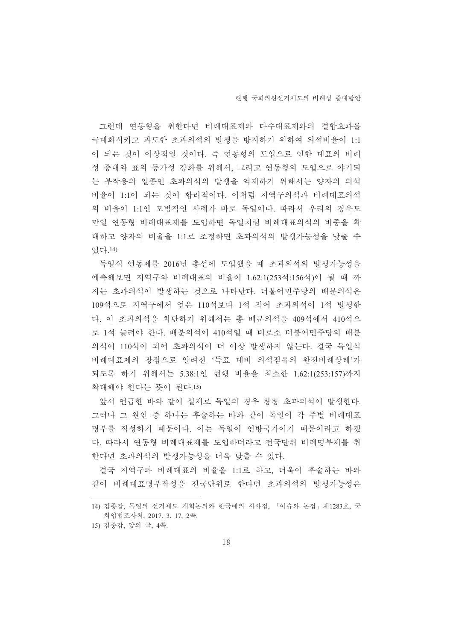그런데 연동형을 취한다면 비례대표제와 다수대표제와의 결합효과를 극대화시키고 과도한 초과의석의 발생을 방지하기 위하여 의석비율이 1:1 이 되는 것이 이상적일 것이다. 즉 연동형의 도입으로 인한 대표의 비례 성 증대와 표의 등가성 강화를 위해서, 그리고 연동형의 도입으로 야기되 는 부작용의 일종이 초과의석의 발생을 억제하기 위해서는 양자의 의석 비율이 1:1이 되는 것이 합리적이다. 이처럼 지역구의석과 비례대표의석 의 비율이 1:1인 모범적인 사례가 바로 독일이다. 따라서 우리의 경우도 만일 연동형 비례대표제를 도입하면 독일처럼 비례대표의석의 비중을 확 대하고 양자의 비율을 1:1로 조정하면 초과의석의 발생가능성을 낮출 수 畵惑.14)

독일식 여동제를 2016년 총선에 도입했을 때 초과의석의 발생가능성을 예측해보면 지역구와 비례대표의 비율이 1.62:1(253석:156석)이 될 때 까 지는 초과의석이 발생하는 것으로 나타난다. 더불어민주당의 배분의석은 109석으로 지역구에서 얻은 110석보다 1석 적어 초과의석이 1석 발생하 다. 이 초과의석을 차단하기 위해서는 총 배분의석을 409석에서 410석으 로 1석 늘려야 한다. 배분의석이 410석일 때 비로소 더불어민주당의 배분 의석이 110석이 되어 초과의석이 더 이상 발생하지 않는다. 결국 독일식 비례대표제의 장점으로 알려진 '득표 대비 의석점유의 완전비례상태'가 되도록 하기 위해서는 5.38:1인 현행 비율을 최소한 1.62:1(253:157)까지 확대해야 한다는 뜻이 된다.15)

앞서 언급한 바와 같이 실제로 독일의 경우 왕왕 초과의석이 발생한다. 그러나 그 원인 중 하나는 후술하는 바와 같이 독일이 각 주별 비례대표 명부를 작성하기 때문이다. 이는 독일이 연방국가이기 때문이라고 하겠 다. 따라서 연동형 비례대표제를 도입하더라고 전국단위 비례명부제를 취 한다면 초과의석의 발생가능성을 더욱 낮출 수 있다.

결국 지역구와 비례대표의 비율을 1:1로 하고, 더욱이 후술하는 바와 같이 비례대표명부작성을 전국단위로 한다면 초과의석의 발생가능성은

<sup>14)</sup> 김종갑, 독일의 선거제도 개혁논의와 한국에의 시사점, 「이슈와 논점」제1283호, 국 회입법조사처, 2017. 3. 17, 2쪽.

<sup>15)</sup> 김종갑, 앞의 글, 4쪽.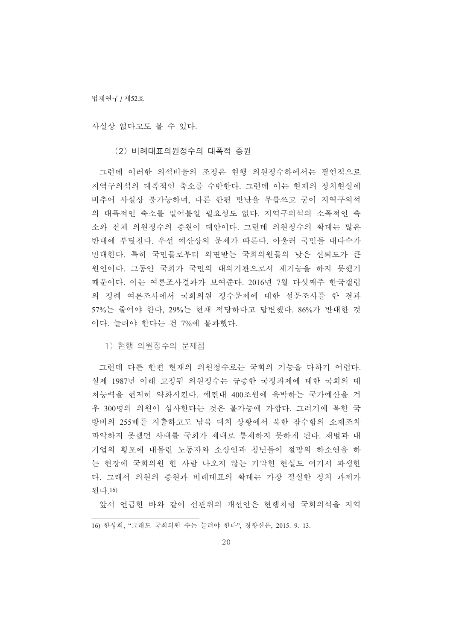법제연구 / 제52호

사실상 없다고도 볼 수 있다.

(2) 비례대표의원정수의 대폭적 증원

그런데 이러한 의석비율의 조정은 현행 의원정수하에서는 필연적으로 지역구의석의 대폭적인 축소를 수반한다. 그런데 이는 현재의 정치현실에 비추어 사실상 불가능하며, 다른 한편 만난을 무릅쓰고 굳이 지역구의석 의 대폭적인 축소를 밀어붙일 필요성도 없다. 지역구의석의 소폭적이 축 소와 전체 의원정수의 증원이 대안이다. 그런데 의원정수의 확대는 많은 반대에 부딪치다. 우선 예사상의 문제가 따른다. 아울러 국민들 대다수가 반대한다. 특히 국민들로부터 외면받는 국회의원들의 낮은 신뢰도가 큰 원인이다. 그동안 국회가 국민의 대의기관으로서 제기능을 하지 못했기 때문이다. 이는 여론조사결과가 보여준다. 2016년 7월 다섯째주 한국갤럽 의 정례 여론조사에서 국회의원 정수문제에 대한 설문조사를 한 결과 57%는 줄여야 한다, 29%는 현재 적당하다고 답변했다. 86%가 반대한 것 이다. 늘려야 한다는 건 7%에 불과했다.

1) 현행 의원정수의 문제점

그런데 다른 한편 현재의 의원정수로는 국회의 기능을 다하기 어렵다. 실제 1987년 이래 고정된 의원정수는 급증한 국정과제에 대한 국회의 대 처능력을 현저히 약화시킨다. 예컨대 400조원에 육박하는 국가예산을 겨 우 300명의 의원이 심사한다는 것은 불가능에 가깝다. 그러기에 북한 국 방비의 255배를 지출하고도 남북 대치 상황에서 북한 잠수함의 소재조차 파악하지 못했던 사태를 국회가 제대로 통제하지 못하게 된다. 재벌과 대 기업의 횡포에 내몰린 노동자와 소상인과 청년들이 절망의 하소연을 하 는 현장에 국회의원 한 사람 나오지 않는 기막힌 현실도 여기서 파생한 다. 그래서 의원의 증원과 비례대표의 확대는 가장 절실한 정치 과제가 되다.16)

앞서 언급한 바와 같이 선관위의 개선안은 현행처럼 국회의석을 지역

<sup>16)</sup> 한상희, "그래도 국회의원 수는 늘려야 한다", 경향신문, 2015. 9. 13.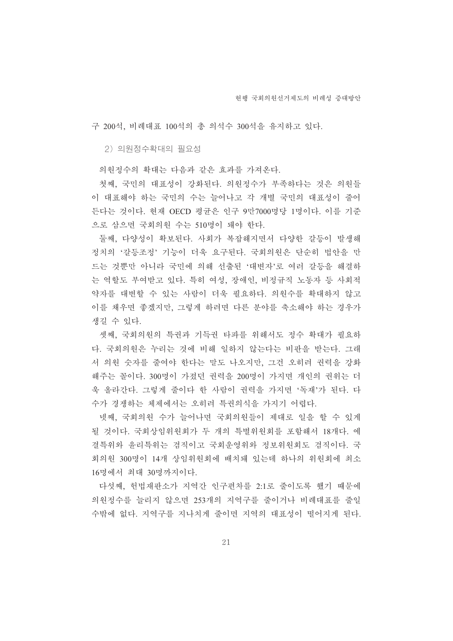구 200석, 비례대표 100석의 총 의석수 300석을 유지하고 있다.

2) 의원정수확대의 필요성

의원정수의 확대는 다음과 같은 효과를 가져온다.

첫째, 국민의 대표성이 강화된다. 의원정수가 부족하다는 것은 의원들 이 대표해야 하는 국민의 수는 늘어나고 각 개별 국민의 대표성이 줄어 든다는 것이다. 현재 OECD 평균은 인구 9만7000명당 1명이다. 이를 기준 으로 삼으면 국회의원 수는 510명이 돼야 한다.

둘째, 다양성이 확보된다. 사회가 복잡해지면서 다양한 갈등이 발생해 정치의 '갈등조정'기능이 더욱 요구된다. 국회의원은 단순히 법안을 만 드는 것뿐만 아니라 국민에 의해 선출된 '대변자'로 여러 갈등을 해결하 는 역할도 부여받고 있다. 특히 여성, 장애인, 비정규직 노동자 등 사회적 약자를 대변할 수 있는 사람이 더욱 필요하다. 의원수를 확대하지 않고 이를 채우면 좋겠지만, 그렇게 하려면 다른 분야를 축소해야 하는 경우가 생길 수 있다.

셋째, 국회의원의 특권과 기득권 타파를 위해서도 정수 확대가 필요하 다. 국회의원은 누리는 것에 비해 일하지 않는다는 비판을 받는다. 그래 서 의원 숫자를 줄여야 한다는 말도 나오지만, 그건 오히려 권력을 강화 해주는 꼴이다. 300명이 가져던 권력을 200명이 가지면 개인의 권위는 더 욱 올라간다. 그렇게 줄이다 한 사람이 권력을 가지면 '독재'가 된다. 다 수가 경쟁하는 체제에서는 오히려 특권의식을 가지기 어렵다.

넷째, 국회의원 수가 늘어나면 국회의원들이 제대로 일을 할 수 있게 될 것이다. 국회상임위원회가 두 개의 특별위원회를 포함해서 18개다. 예 결특위와 윤리특위는 겸직이고 국회운영위와 정보위원회도 겸직이다. 국 회의원 300명이 14개 상임위원회에 배치돼 있는데 하나의 위원회에 최소 16명에서 최대 30명까지이다.

다섯째, 헌법재판소가 지역간 인구편차를 2:1로 줄이도록 했기 때문에 의원정수를 늘리지 않으면 253개의 지역구를 줄이거나 비례대표를 줄일 수밖에 없다. 지역구를 지나치게 줄이면 지역의 대표성이 떨어지게 된다.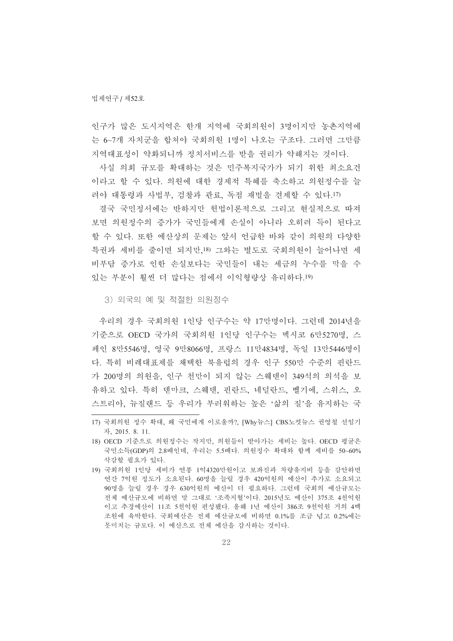인구가 많은 도시지역은 한개 지역에 국회의원이 3명이지만 농촌지역에 는 6~7개 자치군을 합쳐야 국회의원 1명이 나오는 구조다. 그러면 그만큼 지역대표성이 약화되니까 정치서비스를 받을 권리가 약해지는 것이다.

사실 의회 규모를 확대하는 것은 민주복지국가가 되기 위한 최소요건 이라고 할 수 있다. 의원에 대한 경제적 특혜를 축소하고 의원정수를 늘 려야 대통령과 사법부, 검찰과 관료, 독점 재벌을 견제할 수 있다.17)

결국 국민정서에는 반하지만 헌법이론적으로 그리고 현실적으로 따져 보면 의원정수의 증가가 국민들에게 손실이 아니라 오히려 득이 된다고 할 수 있다. 또한 예산상의 문제는 앞서 어급한 바와 같이 의원의 다양한 특권과 세비를 줄이면 되지만 18) 그와는 별도로 국회의원이 늘어나면 세 비부담 증가로 인한 손실보다는 국민들이 내는 세금의 누수를 막을 수 있는 부분이 훨씬 더 많다는 점에서 이익형량상 유리하다.19)

3) 외국의 예 및 적절한 의원정수

우리의 경우 국회의원 1인당 인구수는 약 17만명이다. 그런데 2014년을 기준으로 OECD 국가의 국회의원 1인당 인구수는 멕시코 6만5270명, 스 페인 8만5546명, 영국 9만8066명, 프랑스 11만4834명, 독일 13만5446명이 다. 특히 비례대표제를 채택한 북유럽의 경우 인구 550만 수주의 픽라드 가 200명의 의원을, 인구 천만이 되지 않는 스웨덴이 349석의 의석을 보 유하고 있다. 특히 덴마크, 스웨덴, 핀란드, 네덜란드, 벨기에, 스위스, 오 스트리아, 뉴질랜드 등 우리가 부러워하는 높은 '삶의 질'을 유지하는 국

<sup>17)</sup> 국회의원 정수 확대, 왜 국민에게 이로울까?, [Why뉴스] CBS노컷뉴스 권영철 선임기 畽, 2015. 8. 11.

<sup>18)</sup> OECD 기준으로 의원정수는 작지만, 의원들이 받아가는 세비는 높다. OECD 평균은 국민소득(GDP)의 2.8배인데, 우리는 5.5배다. 의원정수 확대와 함께 세비를 50~60% 삭감할 필요가 있다.

<sup>19)</sup> 국회의원 1인당 세비가 연봉 1억4320만원이고 보좌진과 차량유지비 등을 감안하면 연간 7억원 정도가 소요된다. 60명을 늘릴 경우 420억원의 예산이 추가로 소요되고 90명을 늘릴 경우 경우 630억원의 예산이 더 필요하다. 그런데 국회의 예산규모는 전체 예산규모에 비하면 말 그대로 '조족지혈'이다. 2015년도 예산이 375조 4천억원 이고 추경예산이 11조 5천억원 편성됐다. 올해 1년 예산이 386조 9천억원 거의 4백 조원에 육박한다. 국회예산은 전체 예산규모에 비하면 0.1%를 조금 넘고 0.2%에는 못미치는 규모다. 이 예산으로 전체 예산을 감시하는 것이다.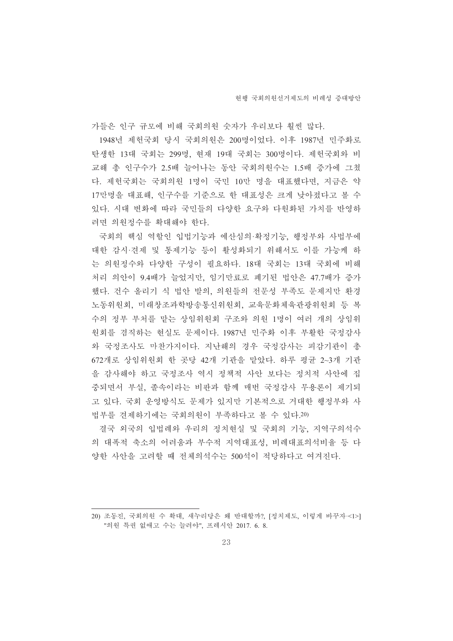가들은 인구 규모에 비해 국회의원 숫자가 우리보다 훨씬 많다.

1948년 제헌국회 당시 국회의원은 200명이었다. 이후 1987년 민주화로 탄생한 13대 국회는 299명, 현재 19대 국회는 300명이다. 제헌국회와 비 교해 총 인구수가 2.5배 늘어나는 동안 국회의원수는 1.5배 증가에 그쳤 다. 제헌국회는 국회의원 1명이 국민 10만 명을 대표했다면. 지금은 약 17만명을 대표해, 인구수를 기준으로 한 대표성은 크게 낮아졌다고 볼 수 있다. 시대 변화에 따라 국민들의 다양한 요구와 다원화된 가치를 반영하 려면 의원정수를 확대해야 한다.

국회의 핵심 역할인 입법기능과 예산심의 확정기능, 행정부와 사법부에 대한 감시·겹체 및 통제기능 등이 활성화되기 위해서도 이를 가능케 하 는 의원정수와 다양한 구성이 필요하다. 18대 국회는 13대 국회에 비해 처리 의안이 9.4배가 늘었지만, 임기만료로 폐기된 법안은 47.7배가 증가 했다. 건수 올리기 식 법안 발의, 의원들의 전문성 부족도 문제지만 환경 노동위워회, 미래창조과학방송통신위원회, 교육문화체육관광위원회 등 복 수의 정부 부처를 맡는 상임위원회 구조와 의원 1명이 여러 개의 상임위 원회를 겸직하는 현실도 문제이다. 1987년 민주화 이후 부활한 국정감사 와 국정조사도 마찬가지이다. 지난해의 경우 국정감사는 피감기관이 총 672개로 상임위원회 한 곳당 42개 기관을 맡았다. 하루 평균 2~3개 기관 을 감사해야 하고 국정조사 역시 정책적 사안 보다는 정치적 사안에 집 중되면서 부실, 졸속이라는 비판과 함께 매번 국정감사 무용론이 제기되 고 있다. 국회 운영방식도 문제가 있지만 기본적으로 거대한 행정부와 사 법부를 견제하기에는 국회의원이 부족하다고 볼 수 있다.20)

결국 외국의 입법례와 우리의 정치현실 및 국회의 기능, 지역구의석수 의 대폭적 축소의 어려움과 부수적 지역대표성, 비례대표의석비율 등 다 양한 사안을 고려할 때 전체의석수는 500석이 적당하다고 여겨진다.

<sup>20)</sup> 조동진, 국회의원 수 확대, 새누리당은 왜 반대할까?, [정치제도, 이렇게 바꾸자·<1>] "의원 특권 없애고 수는 늘려야", 프레시안 2017. 6. 8.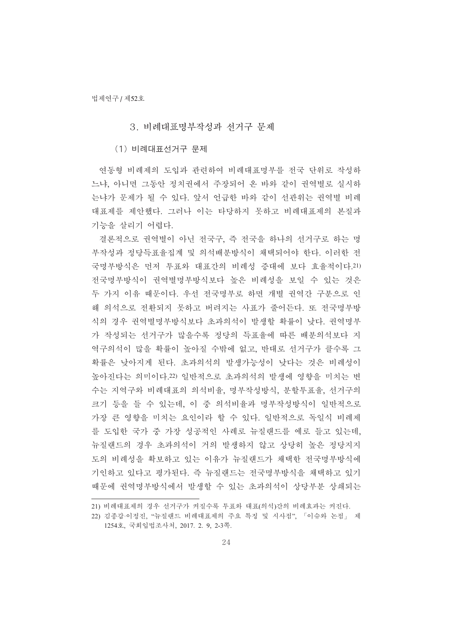#### 3. 비례대표명부작성과 선거구 문제

(1) 비례대표선거구 문제

연동형 비례제의 도입과 관련하여 비례대표명부를 전국 단위로 작성하 느냐, 아니면 그동안 정치권에서 주장되어 온 바와 같이 권역별로 실시하 는냐가 문제가 될 수 있다. 앞서 언급한 바와 같이 선관위는 권역별 비례 대표제를 제안했다. 그러나 이는 타당하지 못하고 비례대표제의 본질과 기능을 살리기 어렵다.

결론적으로 권역별이 아닌 전국구, 즉 전국을 하나의 선거구로 하는 명 부작성과 정당득표율집계 및 의석배분방식이 채택되어야 한다. 이러한 전 국명부방식은 먼저 투표와 대표간의 비례성 증대에 보다 효율적이다. 21) 전국명부방식이 권역별명부방식보다 높은 비례성을 보일 수 있는 것은 두 가지 이유 때문이다. 우선 전국명부로 하면 개별 권역간 구분으로 인 해 의석으로 전환되지 못하고 버려지는 사표가 줄어든다. 또 전국명부방 식의 경우 권역별명부방식보다 초과의석이 발생할 확률이 낮다. 권역명부 가 작성되는 선거구가 많을수록 정당의 득표율에 따른 배분의석보다 지 역구의석이 많을 확률이 높아질 수밖에 없고, 반대로 선거구가 클수록 그 확률은 낮아지게 된다. 초과의석의 발생가능성이 낮다는 것은 비례성이 높아지다는 의미이다.22) 일반적으로 초과의석의 발생에 영향을 미치는 변 수는 지역구와 비례대표의 의석비율, 명부작성방식, 분할투표율, 선거구의 크기 등을 들 수 있는데, 이 중 의석비율과 명부작성방식이 일반적으로 가장 큰 영향을 미치는 요인이라 할 수 있다. 일반적으로 독일식 비례제 를 도입한 국가 중 가장 성공적인 사례로 뉴질랜드를 예로 들고 있는데, 뉴질랜드의 경우 초과의석이 거의 발생하지 않고 상당히 높은 정당지지 도의 비례성을 확보하고 있는 이유가 뉴질랜드가 채택한 전국명부방식에 기인하고 있다고 평가된다. 즉 뉴질랜드는 전국명부방식을 채택하고 있기 때문에 권역명부방식에서 발생할 수 있는 초과의석이 상당부분 상쇄되는

<sup>21)</sup> 비례대표제의 경우 선거구가 커질수록 투표와 대표(의석)간의 비례효과는 커진다.

<sup>22)</sup> 김종갑·이정진, "뉴질랜드 비례대표제의 주요 특징 및 시사점", 「이슈와 논점」 제 1254호, 국회입법조사처, 2017. 2. 9, 2-3쪽.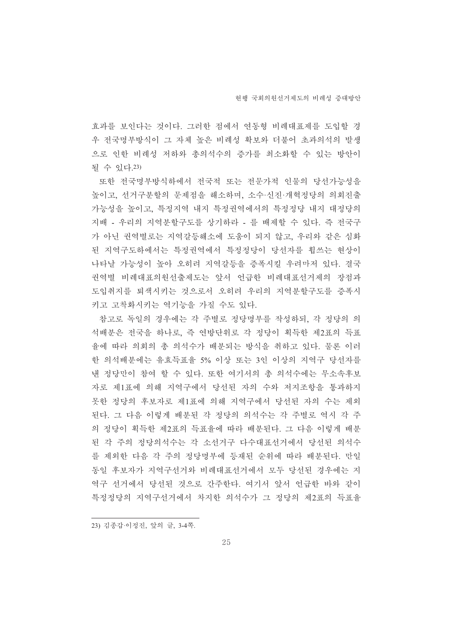효과를 보인다는 것이다. 그러한 점에서 연동형 비례대표제를 도입할 경 우 전국명부방식이 그 자체 높은 비례성 확보와 더불어 초과의석의 발생 으로 인한 비례성 저하와 총의석수의 증가를 최소화할 수 있는 방안이 될 수 있다.23)

또한 저국명부방식하에서 저국적 또는 전문가적 인물의 당선가능성을 높이고, 선거구분할의 문제점을 해소하며, 소수·신진·개혁정당의 의회진출 가능성을 높이고, 특정지역 내지 특정권역에서의 특정정당 내지 대정당의 지배 - 우리의 지역분할구도를 상기하라 - 를 배제할 수 있다. 즉 전국구 가 아닌 권역별로는 지역갈등해소에 도움이 되지 않고, 우리와 같은 심화 된 지역구도하에서는 특정권역에서 특정정당이 당선자를 휩쓰는 현상이 나타날 가능성이 높아 오히려 지역갈등을 증폭시킬 우려마저 있다. 결국 권역별 비례대표의원선출제도는 앞서 언급한 비례대표선거제의 장점과 도입취지를 퇴색시키는 것으로서 오히려 우리의 지역분할구도를 증폭시 키고 고착화시키는 역기능을 가질 수도 있다.

참고로 독일의 경우에는 각 주별로 정당명부를 작성하되, 각 정당의 의 석배분은 전국을 하나로, 즉 연방단위로 각 정당이 획득한 제2표의 득표 율에 따라 의회의 총 의석수가 배분되는 방식을 취하고 있다. 물론 이러 한 의석배분에는 유효득표율 5% 이상 또는 3인 이상의 지역구 당선자를 낸 정당만이 참여 할 수 있다. 또한 여기서의 총 의석수에는 무소속후보 자로 제1표에 의해 지역구에서 당선된 자의 수와 저지조항을 통과하지 못한 정당의 후보자로 제1표에 의해 지역구에서 당선된 자의 수는 제외 된다. 그 다음 이렇게 배분된 각 정당의 의석수는 각 주별로 역시 각 주 의 정당이 획득한 제2표의 득표율에 따라 배분된다. 그 다음 이렇게 배분 된 각 주의 정당의석수는 각 소선거구 다수대표선거에서 당선된 의석수 를 제외한 다음 각 주의 정당명부에 등재된 순위에 따라 배분된다. 만일 동일 후보자가 지역구선거와 비례대표선거에서 모두 당선된 경우에는 지 역구 선거에서 당선된 것으로 간주한다. 여기서 앞서 언급한 바와 같이 특정정당의 지역구선거에서 차지한 의석수가 그 정당의 제2표의 득표율

23) 김종갑·이정진, 앞의 글, 3-4쪽.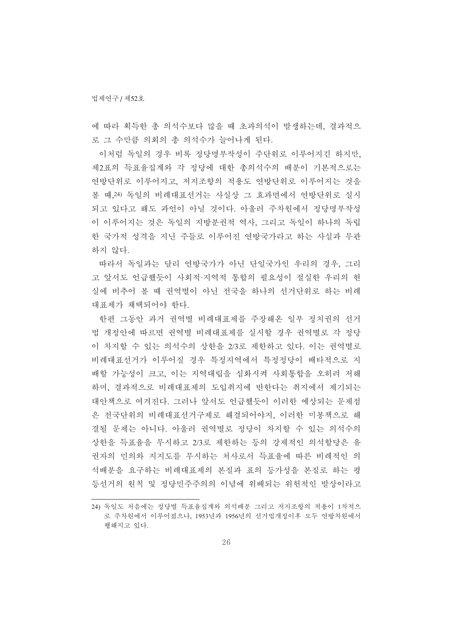에 따라 획득한 총 의석수보다 많을 때 초과의석이 발생하는데, 결과적으 로 그 수만큼 의회의 총 의석수가 늘어나게 된다.

이처럼 독일의 경우 비록 정당명부작성이 주단위로 이루어지긴 하지만, 제2표의 득표율집계와 각 정당에 대한 총의석수의 배분이 기본적으로는 여방단위로 이루어지고, 저지조항의 적용도 여방단위로 이루어지는 것을 볼 때, 24) 독일의 비례대표선거는 사실상 그 효과면에서 연방단위로 실시 되고 있다고 해도 과언이 아닐 것이다. 아울러 주차원에서 정당명부작성 이 이루어지는 것은 독일의 지방분권적 역사, 그리고 독일이 하나의 독립 한 국가적 성격을 지닌 주들로 이루어진 여방국가라고 하는 사실과 무관 하지 않다.

따라서 독일과는 달리 여방국가가 아닌 단일국가인 우리의 경우, 그리 고 앞서도 언급했듯이 사회적·지역적 통합의 필요성이 절실한 우리의 현 실에 비추어 볼 때 권역별이 아닌 전국을 하나의 선거단위로 하는 비례 대표제가 채택되어야 한다.

한편 그동안 과거 권역별 비례대표제를 주장해온 일부 정치권의 선거 법 개정안에 따르면 권역별 비례대표제를 실시할 경우 권역별로 각 정당 이 차지할 수 있는 의석수의 상한을 2/3로 제한하고 있다. 이는 권역별로 비례대표선거가 이루어질 경우 특정지역에서 특정정당이 배타적으로 지 배할 가능성이 크고, 이는 지역대립을 심화시켜 사회통합을 오히려 저해 하며, 결과적으로 비례대표제의 도입취지에 반한다는 취지에서 제기되는 대안책으로 여겨진다. 그러나 앞서도 언급했듯이 이러한 예상되는 문제점 은 전국단위의 비례대표선거구제로 해결되어야지. 이러한 미봉책으로 해 결될 문제는 아니다. 아울러 권역별로 정당이 차지할 수 있는 의석수의 상한을 득표율을 무시하고 2/3로 제한하는 등의 강제적인 의석할당은 유 권자의 민의와 지지도를 무시하는 처사로서 득표율에 따른 비례적인 의 석배분을 요구하는 비례대표제의 본질과 표의 등가성을 본질로 하는 평 등선거의 원칙 및 정당민주주의의 이념에 위배되는 위헌적인 발상이라고

<sup>24)</sup> 독일도 처음에는 것당별 득표율집계와 의석배분 그리고 저지조항의 적용이 1차적으 로 주차원에서 이루어졌으나, 1953년과 1956년의 선거법개정이후 모두 연방차원에서 행해지고 있다.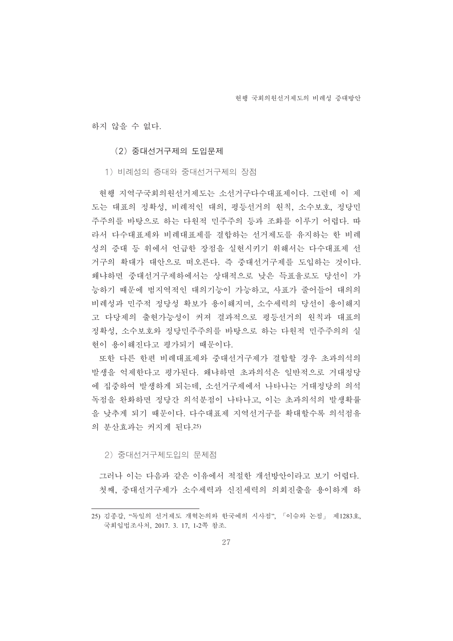하지 않을 수 없다.

(2) 중대선거구제의 도입문제

1) 비례성의 증대와 중대선거구제의 장점

현행 지역구국회의원선거제도는 소선거구다수대표제이다. 그런데 이 제 도는 대표의 정확성, 비례적인 대의, 평등선거의 원칙, 소수보호, 정당민 주주의를 바탕으로 하는 다워적 민주주의 등과 조화를 이루기 어렵다. 따 라서 다수대표제와 비례대표제를 결합하는 선거제도를 유지하는 한 비례 성의 증대 등 위에서 언급한 장점을 실현시키기 위해서는 다수대표제 선 거구의 확대가 대안으로 떠오른다. 즉 중대선거구제를 도입하는 것이다. 왜냐하면 중대선거구제하에서는 상대적으로 낮은 득표율로도 당선이 가 능하기 때문에 범지역적인 대의기능이 가능하고, 사표가 줄어들어 대의의 비례성과 민주적 정당성 확보가 용이해지며, 소수세력의 당선이 용이해지 고 다당제의 출현가능성이 커져 결과적으로 평등선거의 원칙과 대표의 정확성, 소수보호와 정당민주주의를 바탕으로 하는 다워적 민주주의의 실 현이 용이해진다고 평가되기 때문이다.

또한 다른 한편 비례대표제와 중대선거구제가 결합할 경우 초과의석의 발생을 억제한다고 평가된다. 왜냐하면 초과의석은 일반적으로 거대정당 에 집중하여 발생하게 되는데, 소선거구제에서 나타나는 거대정당의 의석 독점을 완화하면 정당간 의석분점이 나타나고, 이는 초과의석의 발생확률 을 낮추게 되기 때문이다. 다수대표제 지역선거구를 확대할수록 의석점유 의 분산효과는 커지게 된다.25)

2) 중대선거구제도입의 문제점

그러나 이는 다음과 같은 이유에서 적절한 개선방안이라고 보기 어렵다. 첫째, 중대선거구제가 소수세력과 신진세력의 의회진출을 용이하게 하

<sup>25)</sup> 김종갑, "독일의 선거제도 개혁논의와 한국에의 시사점", 「이슈와 논점」 제1283호, 국회입법조사처, 2017. 3. 17, 1-2쪽 참조.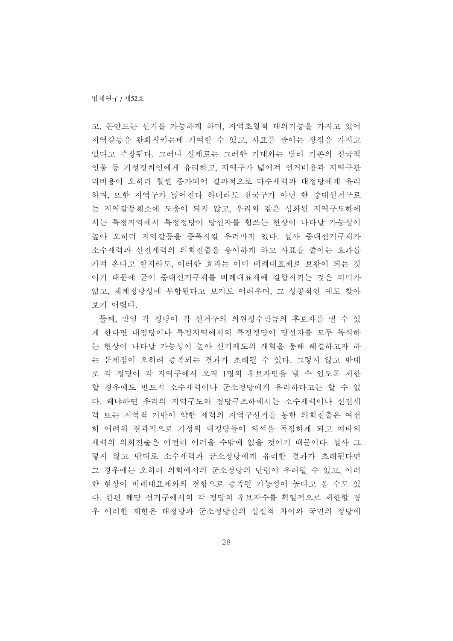고, 돈안드는 선거를 가능하게 하며, 지역초월적 대의기능을 가지고 있어 지역갈등을 완화시키는데 기여할 수 있고, 사표를 줄이는 장점을 가지고 있다고 주장된다. 그러나 실제로는 그러한 기대와는 달리 기존의 전국적 인물 등 기성정치인에게 유리하고, 지역구가 넓어져 선거비용과 지역구관 리비용이 오히려 훨씬 증가되어 결과적으로 다수세력과 대정당에게 유리 하며, 또한 지역구가 넓어진다 하더라도 전국구가 아닌 한 중대선거구로 는 지역갈등해소에 도움이 되지 않고, 우리와 같은 심화된 지역구도하에 서는 특정지역에서 특정정당이 당선자를 휩쓰는 현상이 나타날 가능성이 높아 오히려 지역갈등을 증폭시킬 우려마저 있다. 설사 중대선거구제가 소수세력과 신진세력의 의회진출을 용이하게 하고 사표를 줄이는 효과를 가져 온다고 할지라도, 이러한 효과는 이미 비례대표제로 보완이 되는 것 이기 때문에 굳이 중대선거구제를 비례대표제에 결합시키는 것은 의미가 없고, 체계정당성에 부합된다고 보기도 어려우며, 그 성공적인 예도 찾아 보기 어렵다.

둘째, 만일 각 정당이 각 선거구의 의원정수만큼의 후보자를 낼 수 있 게 한다면 대정당이나 특정지역에서의 특정정당이 당선자를 모두 독식하 는 현상이 나타날 가능성이 높아 선거제도의 개혁을 통해 해결하고자 하 는 문제점이 오히려 증폭되는 결과가 초래될 수 있다. 그렇지 않고 반대 로 각 정당이 각 지역구에서 오직 1명의 후보자만을 낼 수 있도록 제한 할 경우에도 반드시 소수세력이나 군소정당에게 유리하다고는 할 수 없 다. 왜냐하면 우리의 지역구도와 정당구조하에서는 소수세력이나 신진세 력 또는 지역적 기반이 약한 세력의 지역구서거를 통한 의회지출은 여전 히 어려워 결과적으로 기성의 대정당들이 의석을 독점하게 되고 여타의 세력의 의회진출은 여전히 어려울 수밖에 없을 것이기 때문이다. 설사 그 렇지 않고 반대로 소수세력과 군소정당에게 유리한 결과가 초래된다면 그 경우에는 오히려 의회에서의 군소정당의 난립이 우려될 수 있고, 이러 한 현상이 비례대표제와의 결합으로 증폭될 가능성이 높다고 볼 수도 있 다. 한편 해당 선거구에서의 각 정당의 후보자수를 획일적으로 제한할 경 우 이러한 제한은 대정당과 군소정당간의 실질적 차이와 국민의 정당에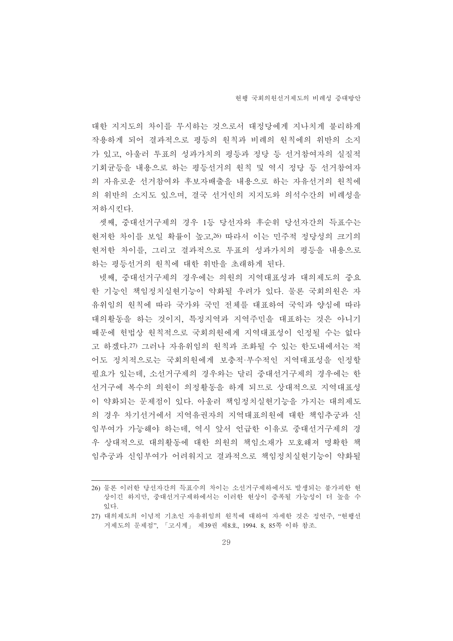대한 지지도의 차이를 무시하는 것으로서 대정당에게 지나치게 불리하게 작용하게 되어 결과적으로 평등의 원칙과 비례의 원칙에의 위반의 소지 가 있고, 아울러 투표의 성과가치의 평등과 정당 등 선거참여자의 실질적 기회균등을 내용으로 하는 평등선거의 원칙 및 역시 정당 등 선거참여자 의 자유로우 선거참여와 후보자배출을 내용으로 하는 자유서거의 원칙에 의 위반의 소지도 있으며, 결국 선거인의 지지도와 의석수간의 비례성을 저하시킨다.

셋째, 중대선거구제의 경우 1등 당선자와 후순위 당선자간의 득표수는 혀저한 차이를 보일 확률이 높고.26) 따라서 이는 민주적 정당성의 크기의 현저한 차이를. 그리고 결과적으로 투표의 성과가치의 평등을 내용으로 하는 평등선거의 워칙에 대한 위반을 초래하게 된다.

넷째, 중대선거구제의 경우에는 의원의 지역대표성과 대의제도의 중요 한 기능인 책임정치실현기능이 약화될 우려가 있다. 물론 국회의원은 자 유위임의 원칙에 따라 국가와 국민 전체를 대표하여 국익과 양심에 따라 대의활동을 하는 것이지, 특정지역과 지역주민을 대표하는 것은 아니기 때문에 헌법상 원칙적으로 국회의원에게 지역대표성이 인정될 수는 없다 고 하겠다.27) 그러나 자유위임의 원칙과 조화될 수 있는 한도내에서는 적 어도 정치적으로는 국회의원에게 보충적·부수적인 지역대표성을 인정할 필요가 있는데, 소선거구제의 경우와는 달리 중대선거구제의 경우에는 한 선거구에 복수의 의원이 의정활동을 하게 되므로 상대적으로 지역대표성 이 약화되는 문제점이 있다. 아울러 책임정치실현기능을 가지는 대의제도 의 경우 차기선거에서 지역유권자의 지역대표의원에 대한 책임추궁과 신 임부여가 가능해야 하는데, 역시 앞서 언급한 이유로 중대선거구제의 경 우 상대적으로 대의활동에 대한 의원의 책임소재가 모호해져 명확한 책 임추궁과 신임부여가 어려워지고 결과적으로 책임정치실현기능이 약화될

<sup>26)</sup> 물론 이러한 당선자간의 득표수의 차이는 소선거구제하에서도 발생되는 불가피한 현 상이긴 하지만, 중대선거구제하에서는 이러한 현상이 증폭될 가능성이 더 높을 수 畵惑.

<sup>27)</sup> 대의제도의 이념적 기초인 자유위임의 원칙에 대하여 자세한 것은 정연주, "현행선 거제도의 문제점", 「고시계」 제39권 제8호, 1994. 8, 85쪽 이하 참조.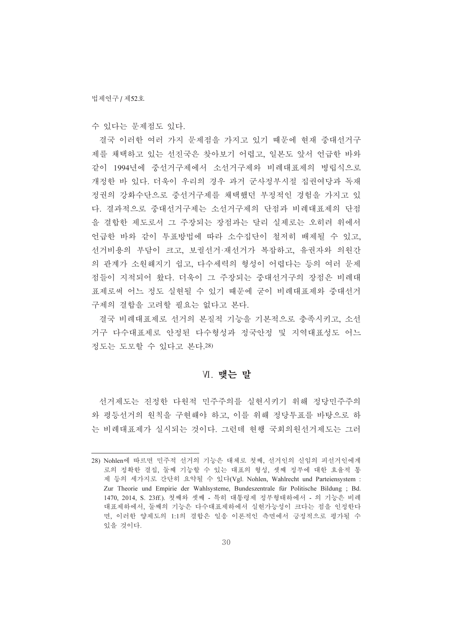수 있다는 문제점도 있다.

결국 이러한 여러 가지 문제점을 가지고 있기 때문에 현재 중대선거구 제를 채택하고 있는 선진국은 찾아보기 어렵고, 일본도 앞서 언급한 바와 같이 1994년에 중선거구제에서 소선거구제와 비례대표제의 병립식으로 개정한 바 있다. 더욱이 우리의 경우 과거 군사정부시절 집권여당과 독재 정권의 강화수단으로 중선거구제를 채택했던 부정적인 경험을 가지고 있 다. 결과적으로 중대선거구제는 소선거구제의 단점과 비례대표제의 단점 을 결합한 제도로서 그 주장되는 장점과는 달리 실제로는 오히려 위에서 언급한 바와 같이 투표방법에 따라 소수집단이 철저히 배제될 수 있고. 선거비용의 부담이 크고, 보궐선거·재선거가 복잡하고, 유권자와 의원간 의 관계가 소원해지기 쉽고, 다수세력의 형성이 어렵다는 등의 여러 문제 점들이 지적되어 왔다. 더욱이 그 주장되는 중대선거구의 장점은 비례대 표제로써 어느 정도 실현될 수 있기 때문에 굳이 비례대표제와 중대선거 구제의 결합을 고려할 필요는 없다고 본다.

결국 비례대표제로 선거의 본질적 기능을 기본적으로 충족시키고, 소선 거구 다수대표제로 안정된 다수형성과 정국안정 및 지역대표성도 어느 정도는 도모할 수 있다고 본다.28)

#### VI. 맺는 말

선거제도는 진정한 다원적 민주주의를 실현시키기 위해 정당민주주의 와 평등선거의 원칙을 구현해야 하고, 이를 위해 정당투표를 바탕으로 하 는 비례대표제가 실시되는 것이다. 그런데 현행 국회의원선거제도는 그러

<sup>28)</sup> Nohlen에 따르면 민주적 선거의 기능은 대체로 첫째, 선거인의 신임의 피선거인에게 로의 정확한 결집, 둘째 기능할 수 있는 대표의 형성, 셋째 정부에 대한 효율적 통 제 등의 세가지로 간단히 요약될 수 있다(Vgl. Nohlen, Wahlrecht und Parteiensystem : Zur Theorie und Empirie der Wahlsysteme, Bundeszentrale fu-Zur Theorie und Empirie der Wahlsysteme, Bundeszentrale für Politische Bildung ; Bd. 1470, 2014, S. 23ff.). 첫째와 셋째 - 특히 대통령제 정부형태하에서 - 의 기능은 비례 대표제하에서, 둘째의 기능은 다수대표제하에서 실현가능성이 크다는 점을 인정한다 면, 이러한 양제도의 1:1의 결합은 일응 이론적인 측면에서 긍정적으로 평가될 수 있을 것이다.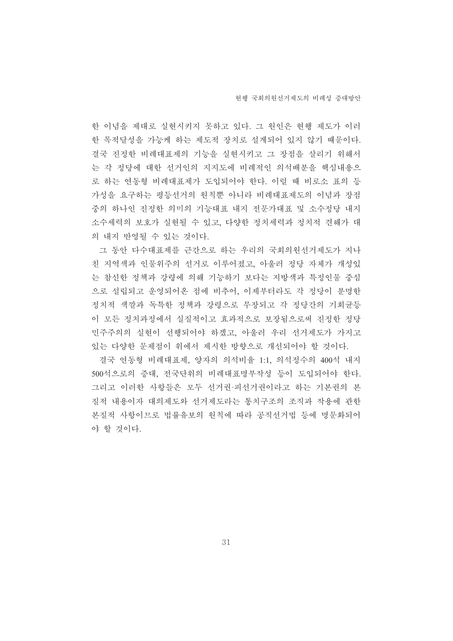한 이념을 제대로 실현시키지 못하고 있다. 그 원인은 현행 제도가 이러 한 목적달성을 가능케 하는 제도적 장치로 설계되어 있지 않기 때문이다. 결국 진정한 비례대표제의 기능을 실현시키고 그 장점을 살리기 위해서 는 각 정당에 대한 선거인의 지지도에 비례적인 의석배분을 핵심내용으 로 하는 연동형 비례대표제가 도입되어야 한다. 이럴 때 비로소 표의 등 가성을 요구하는 평등선거의 원칙뿐 아니라 비례대표제도의 이념과 장점 중의 하나인 진정한 의미의 기능대표 내지 전문가대표 및 소수정당 내지 소수세력의 보호가 실현될 수 있고, 다양한 정치세력과 정치적 견해가 대 의 내지 반영될 수 있는 것이다.

그 동안 다수대표제를 근간으로 하는 우리의 국회의원선거제도가 지나 친 지역색과 인물위주의 선거로 이루어졌고, 아울러 정당 자체가 개성있 는 참신한 정책과 강령에 의해 기능하기 보다는 지방색과 특정인물 중심 으로 설립되고 운영되어온 점에 비추어, 이제부터라도 각 정당이 분명한 정치적 색깔과 독특한 정책과 강령으로 무장되고 각 정당간의 기회균등 이 모든 정치과정에서 실질적이고 효과적으로 보장됨으로써 진정한 정당 민주주의의 실현이 선행되어야 하겠고, 아울러 우리 선거제도가 가지고 있는 다양한 문제점이 위에서 제시한 방향으로 개선되어야 할 것이다.

결국 연동형 비례대표제, 양자의 의석비율 1:1, 의석정수의 400석 내지 500석으로의 증대, 전국단위의 비례대표명부작성 등이 도입되어야 한다. 그리고 이러한 사항들은 모두 선거권·피서거권이라고 하는 기본권의 본 질적 내용이자 대의제도와 선거제도라는 통치구조의 조직과 작용에 관한 본질적 사항이므로 법률유보의 원칙에 따라 공직선거법 등에 명문화되어 야 할 것이다.

31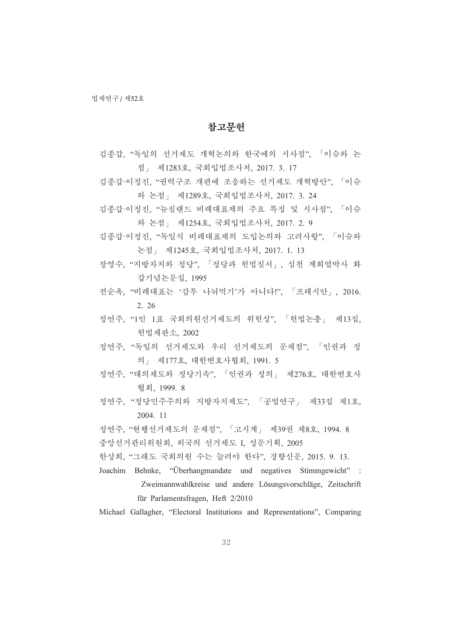### 참고무헌

- 김종갑, "독일의 선거제도 개혁논의와 한국에의 시사점", 「이슈와 논 점 , 제1283호, 국회입법조사처, 2017. 3. 17
- 김종갑·이정진, "권력구조 개편에 조응하는 선거제도 개혁방안", 「이슈 와 논점」 제1289호, 국회입법조사처, 2017. 3. 24
- 김종갑·이정진, "뉴질랜드 비례대표제의 주요 특징 및 시사점", 「이슈 와 논점 | 제1254호, 국회입법조사처, 2017. 2. 9
- 김종갑·이정진, "독일식 비례대표제의 도입논의와 고려사항", 「이슈와 논점」 제1245호, 국회입법조사처, 2017. 1. 13
- 장영수, "지방자치와 정당", 「정당과 헌법질서」, 심천 계희열박사 화 갑기념논문집, 1995
- 전순옥, "비례대표는 '감투 나눠먹기'가 아니다!", 「프레시안」, 2016. 2. 26
- 정연주, "1인 1표 국회의원선거제도의 위헌성", 「헌법논총」 제13집, 헌법재판소, 2002
- 정연주, "독일의 선거제도와 우리 선거제도의 문제점", 「인권과 정 의 제177호, 대한변호사협회, 1991. 5
- 정연주, "대의제도와 정당기속", 「인권과 정의」 제276호, 대한변호사 菾葹, 1999. 8
- 정연주, "정당민주주의와 지방자치제도", 「공법연구」 제33집 제1호, 2004. 11
- 정연주, "현행선거제도의 문제점", 「고시계」 제39권 제8호, 1994. 8
- 중앙선거관리위원회, 외국의 선거제도 I, 성문기획, 2005
- 한상희, "그래도 국회의원 수는 늘려야 한다", 경향신문, 2015. 9. 13.
- Joachim Behnke, "Überhangmandate und negatives Stimmgewicht" : Zweimannwahlkreise und andere Lösungsvorschläge, Zeitschrift für Parlamentsfragen, Heft 2/2010

Michael Gallagher, "Electoral Institutions and Representations", Comparing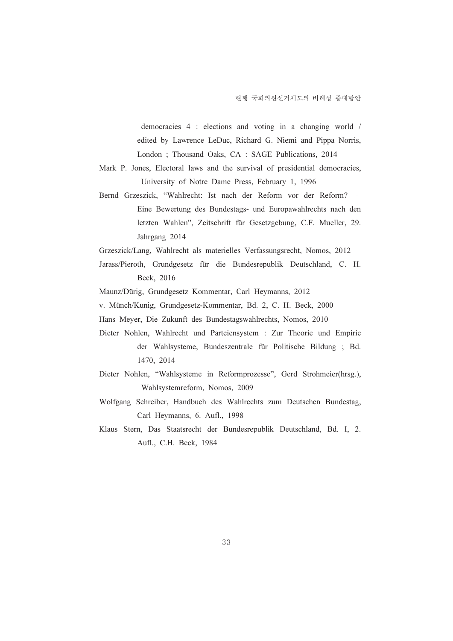democracies 4 : elections and voting in a changing world / edited by Lawrence LeDuc, Richard G. Niemi and Pippa Norris, London ; Thousand Oaks, CA : SAGE Publications, 2014

- Mark P. Jones, Electoral laws and the survival of presidential democracies, University of Notre Dame Press, February 1, 1996
- Bernd Grzeszick, "Wahlrecht: Ist nach der Reform vor der Reform? ّ Eine Bewertung des Bundestags- und Europawahlrechts nach den letzten Wahlen", Zeitschrift für Gesetzgebung, C.F. Mueller, 29. Jahrgang 2014

Grzeszick/Lang, Wahlrecht als materielles Verfassungsrecht, Nomos, 2012

Jarass/Pieroth, Grundgesetz für die Bundesrepublik Deutschland, C. H. Beck, 2016

Maunz/Dürig, Grundgesetz Kommentar, Carl Heymanns, 2012

v. Münch/Kunig, Grundgesetz-Kommentar, Bd. 2, C. H. Beck, 2000

- Hans Meyer, Die Zukunft des Bundestagswahlrechts, Nomos, 2010
- Dieter Nohlen, Wahlrecht und Parteiensystem : Zur Theorie und Empirie Kunig, Grundgesetz-Kommentar, Bd. 2, C. H. Beck, 2000<br>
r, Die Zukunft des Bundestagswahlrechts, Nomos, 2010<br>
ulen, Wahlrecht und Parteiensystem : Zur Theorie und Empirie<br>
der Wahlsysteme, Bundeszentrale für Politische Bild 1470, 2014
- Dieter Nohlen, "Wahlsysteme in Reformprozesse", Gerd Strohmeier(hrsg.), Wahlsystemreform, Nomos, 2009
- Wolfgang Schreiber, Handbuch des Wahlrechts zum Deutschen Bundestag, Carl Heymanns, 6. Aufl., 1998
- Klaus Stern, Das Staatsrecht der Bundesrepublik Deutschland, Bd. I, 2. Aufl., C.H. Beck, 1984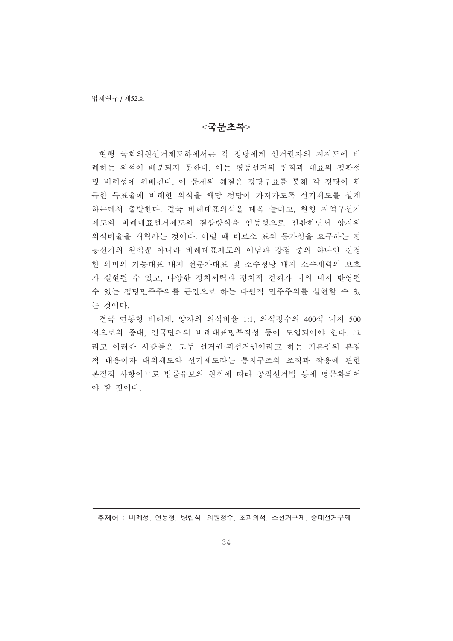#### $<$ 국무초록>

현행 국회의원선거제도하에서는 각 정당에게 선거권자의 지지도에 비 례하는 의석이 배분되지 못한다. 이는 평등선거의 원칙과 대표의 정확성 및 비례성에 위배된다. 이 문제의 해결은 정당투표를 통해 각 정당이 획 득한 득표율에 비례한 의석을 해당 정당이 가져가도록 선거제도를 설계 하는데서 출발한다. 결국 비례대표의석을 대폭 늘리고, 현행 지역구선거 제도와 비례대표선거제도의 결합방식을 연동형으로 전환하면서 양자의 의석비율을 개혁하는 것이다. 이럴 때 비로소 표의 등가성을 요구하는 평 등선거의 원칙뿐 아니라 비례대표제도의 이념과 장점 중의 하나인 진정 한 의미의 기능대표 내지 전문가대표 및 소수정당 내지 소수세력의 보호 가 실현될 수 있고, 다양한 정치세력과 정치적 견해가 대의 내지 반영될 수 있는 정당민주주의를 근간으로 하는 다원적 민주주의를 실현할 수 있 는 것이다.

결국 연동형 비례제, 양자의 의석비율 1:1, 의석정수의 400석 내지 500 석으로의 증대, 전국단위의 비례대표명부작성 등이 도입되어야 한다. 그 리고 이러한 사항들은 모두 선거권·피선거권이라고 하는 기본권의 본질 적 내용이자 대의제도와 선거제도라는 통치구조의 조직과 작용에 관한 본질적 사항이므로 법률유보의 원칙에 따라 공직선거법 등에 명문화되어 야 할 것이다.

주제어: 비례성, 연동형, 병립식, 의원정수, 초과의석, 소선거구제, 중대선거구제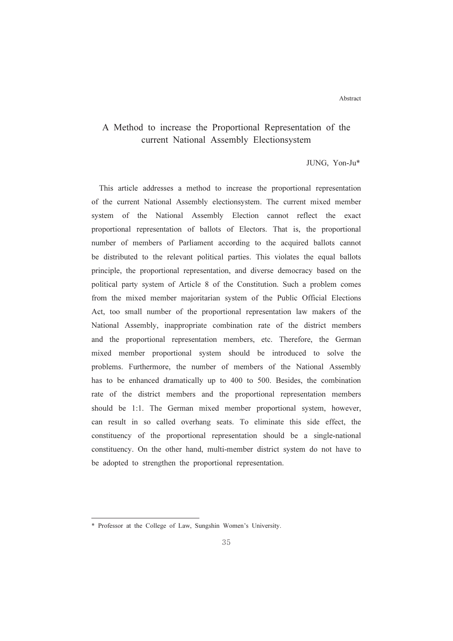Abstract

# A Method to increase the Proportional Representation of the current National Assembly Electionsystem

JUNG, Yon-Ju\*

This article addresses a method to increase the proportional representation of the current National Assembly electionsystem. The current mixed member system of the National Assembly Election cannot reflect the exact proportional representation of ballots of Electors. That is, the proportional number of members of Parliament according to the acquired ballots cannot be distributed to the relevant political parties. This violates the equal ballots principle, the proportional representation, and diverse democracy based on the political party system of Article 8 of the Constitution. Such a problem comes from the mixed member majoritarian system of the Public Official Elections Act, too small number of the proportional representation law makers of the National Assembly, inappropriate combination rate of the district members and the proportional representation members, etc. Therefore, the German mixed member proportional system should be introduced to solve the problems. Furthermore, the number of members of the National Assembly has to be enhanced dramatically up to 400 to 500. Besides, the combination rate of the district members and the proportional representation members should be 1:1. The German mixed member proportional system, however, can result in so called overhang seats. To eliminate this side effect, the constituency of the proportional representation should be a single-national constituency. On the other hand, multi-member district system do not have to be adopted to strengthen the proportional representation.

<sup>\*</sup> Professor at the College of Law, Sungshin Women's University.